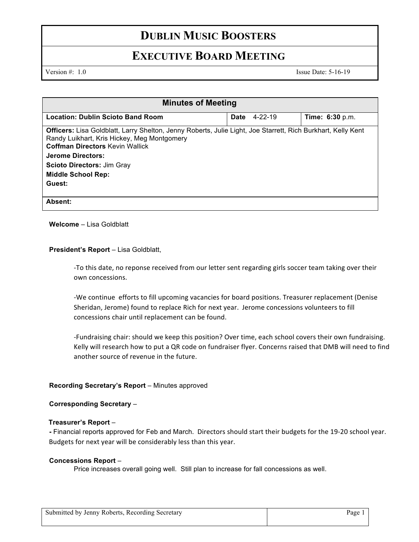## **DUBLIN MUSIC BOOSTERS**

# **EXECUTIVE BOARD MEETING**

Version #: 1.0 Issue Date: 5-16-19

| <b>Minutes of Meeting</b>                                                                                                                                                                                                                                                                                     |  |                     |                        |  |
|---------------------------------------------------------------------------------------------------------------------------------------------------------------------------------------------------------------------------------------------------------------------------------------------------------------|--|---------------------|------------------------|--|
| <b>Location: Dublin Scioto Band Room</b>                                                                                                                                                                                                                                                                      |  | <b>Date</b> 4-22-19 | <b>Time: 6:30</b> p.m. |  |
| <b>Officers:</b> Lisa Goldblatt, Larry Shelton, Jenny Roberts, Julie Light, Joe Starrett, Rich Burkhart, Kelly Kent<br>Randy Luikhart, Kris Hickey, Meg Montgomery<br><b>Coffman Directors Kevin Wallick</b><br><b>Jerome Directors:</b><br><b>Scioto Directors: Jim Gray</b><br>Middle School Rep:<br>Guest: |  |                     |                        |  |
| Absent:                                                                                                                                                                                                                                                                                                       |  |                     |                        |  |

### **Welcome** – Lisa Goldblatt

### **President's Report** – Lisa Goldblatt,

-To this date, no reponse received from our letter sent regarding girls soccer team taking over their own concessions.

-We continue efforts to fill upcoming vacancies for board positions. Treasurer replacement (Denise Sheridan, Jerome) found to replace Rich for next year. Jerome concessions volunteers to fill concessions chair until replacement can be found.

-Fundraising chair: should we keep this position? Over time, each school covers their own fundraising. Kelly will research how to put a QR code on fundraiser flyer. Concerns raised that DMB will need to find another source of revenue in the future.

### **Recording Secretary's Report** – Minutes approved

### **Corresponding Secretary** –

### **Treasurer's Report** –

**-** Financial reports approved for Feb and March. Directors should start their budgets for the 19-20 school year. Budgets for next year will be considerably less than this year.

### **Concessions Report** –

Price increases overall going well. Still plan to increase for fall concessions as well.

| Submitted by Jenny Roberts, Recording Secretary | $P_{\text{age}}$ |
|-------------------------------------------------|------------------|
|                                                 |                  |